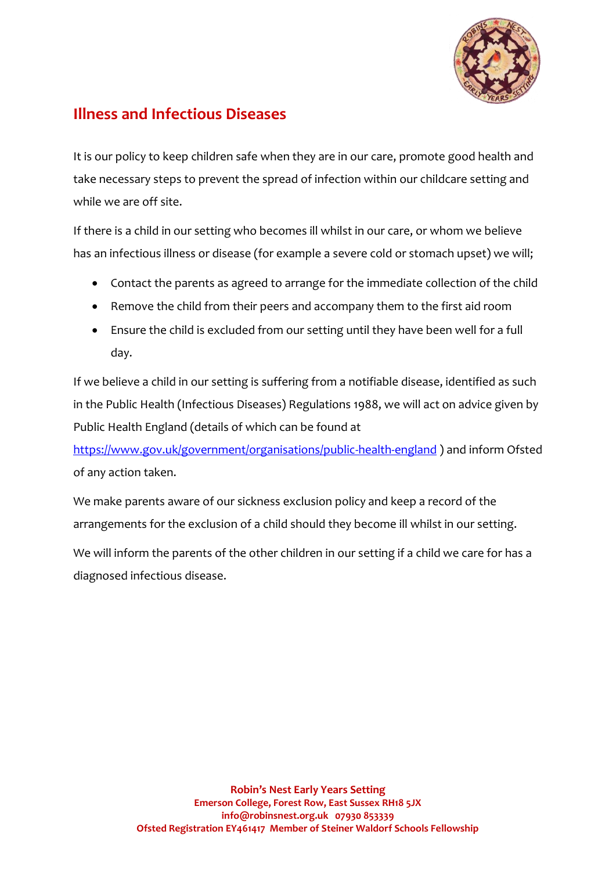

## **Illness and Infectious Diseases**

It is our policy to keep children safe when they are in our care, promote good health and take necessary steps to prevent the spread of infection within our childcare setting and while we are off site.

If there is a child in our setting who becomes ill whilst in our care, or whom we believe has an infectious illness or disease (for example a severe cold or stomach upset) we will;

- Contact the parents as agreed to arrange for the immediate collection of the child
- Remove the child from their peers and accompany them to the first aid room
- Ensure the child is excluded from our setting until they have been well for a full day.

If we believe a child in our setting is suffering from a notifiable disease, identified as such in the Public Health (Infectious Diseases) Regulations 1988, we will act on advice given by Public Health England (details of which can be found at

<https://www.gov.uk/government/organisations/public-health-england> ) and inform Ofsted of any action taken.

We make parents aware of our sickness exclusion policy and keep a record of the arrangements for the exclusion of a child should they become ill whilst in our setting.

We will inform the parents of the other children in our setting if a child we care for has a diagnosed infectious disease.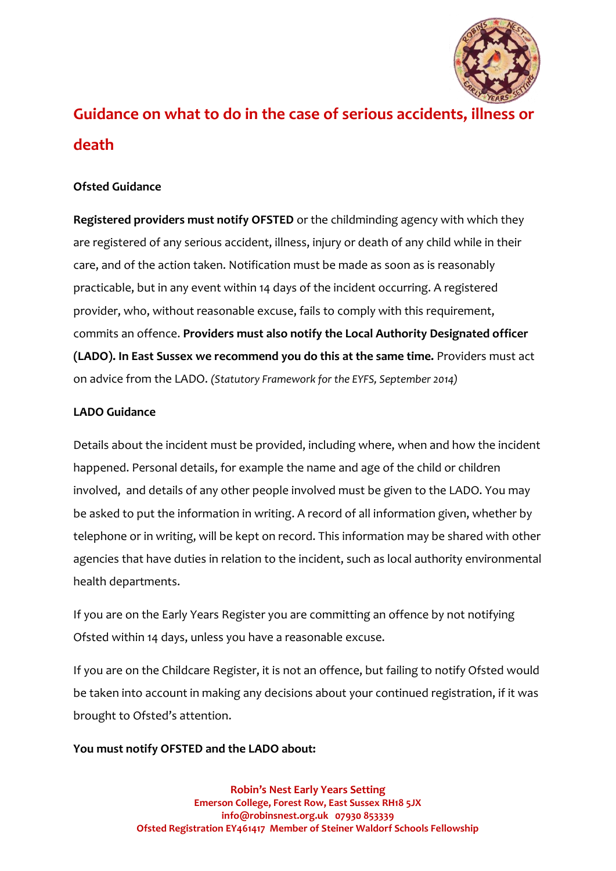

# **Guidance on what to do in the case of serious accidents, illness or death**

### **Ofsted Guidance**

**Registered providers must notify OFSTED** or the childminding agency with which they are registered of any serious accident, illness, injury or death of any child while in their care, and of the action taken. Notification must be made as soon as is reasonably practicable, but in any event within 14 days of the incident occurring. A registered provider, who, without reasonable excuse, fails to comply with this requirement, commits an offence. **Providers must also notify the Local Authority Designated officer (LADO). In East Sussex we recommend you do this at the same time.** Providers must act on advice from the LADO. *(Statutory Framework for the EYFS, September 2014)*

#### **LADO Guidance**

Details about the incident must be provided, including where, when and how the incident happened. Personal details, for example the name and age of the child or children involved, and details of any other people involved must be given to the LADO. You may be asked to put the information in writing. A record of all information given, whether by telephone or in writing, will be kept on record. This information may be shared with other agencies that have duties in relation to the incident, such as local authority environmental health departments.

If you are on the Early Years Register you are committing an offence by not notifying Ofsted within 14 days, unless you have a reasonable excuse.

If you are on the Childcare Register, it is not an offence, but failing to notify Ofsted would be taken into account in making any decisions about your continued registration, if it was brought to Ofsted's attention.

#### **You must notify OFSTED and the LADO about:**

**Robin's Nest Early Years Setting Emerson College, Forest Row, East Sussex RH18 5JX info@robinsnest.org.uk 07930 853339 Ofsted Registration EY461417 Member of Steiner Waldorf Schools Fellowship**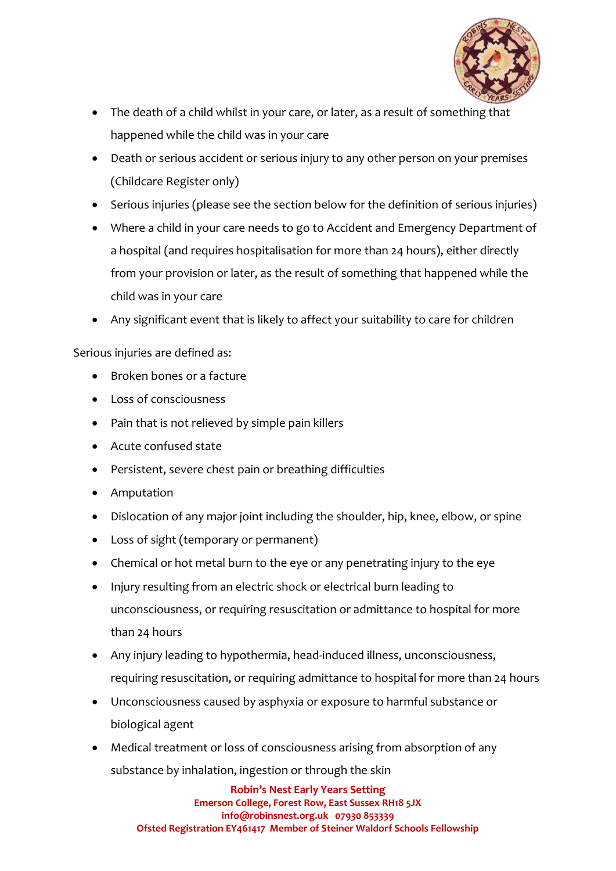

- The death of a child whilst in your care, or later, as a result of something that happened while the child was in your care
- Death or serious accident or serious injury to any other person on your premises (Childcare Register only)
- Serious injuries (please see the section below for the definition of serious injuries)
- Where a child in your care needs to go to Accident and Emergency Department of a hospital (and requires hospitalisation for more than 24 hours), either directly from your provision or later, as the result of something that happened while the child was in your care
- Any significant event that is likely to affect your suitability to care for children

#### Serious injuries are defined as:

- Broken bones or a facture
- Loss of consciousness
- Pain that is not relieved by simple pain killers
- Acute confused state
- Persistent, severe chest pain or breathing difficulties
- Amputation
- Dislocation of any major joint including the shoulder, hip, knee, elbow, or spine
- Loss of sight (temporary or permanent)
- Chemical or hot metal burn to the eye or any penetrating injury to the eye
- Injury resulting from an electric shock or electrical burn leading to unconsciousness, or requiring resuscitation or admittance to hospital for more than 24 hours
- Any injury leading to hypothermia, head-induced illness, unconsciousness, requiring resuscitation, or requiring admittance to hospital for more than 24 hours
- Unconsciousness caused by asphyxia or exposure to harmful substance or biological agent
- Medical treatment or loss of consciousness arising from absorption of any substance by inhalation, ingestion or through the skin

**Robin's Nest Early Years Setting Emerson College, Forest Row, East Sussex RH18 5JX info@robinsnest.org.uk 07930 853339 Ofsted Registration EY461417 Member of Steiner Waldorf Schools Fellowship**